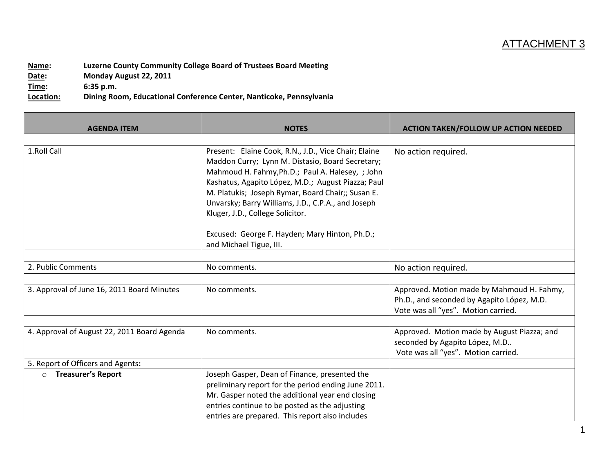## ATTACHMENT 3

**Name: Luzerne County Community College Board of Trustees Board Meeting Date: Monday August 22, 2011 Time: 6:35 p.m. Location: Dining Room, Educational Conference Center, Nanticoke, Pennsylvania**

| <b>AGENDA ITEM</b>                          | <b>NOTES</b>                                                                                                                                                                                                                                                                                                                                                                                                                                   | <b>ACTION TAKEN/FOLLOW UP ACTION NEEDED</b>                                                                                     |
|---------------------------------------------|------------------------------------------------------------------------------------------------------------------------------------------------------------------------------------------------------------------------------------------------------------------------------------------------------------------------------------------------------------------------------------------------------------------------------------------------|---------------------------------------------------------------------------------------------------------------------------------|
| 1.Roll Call                                 | Present: Elaine Cook, R.N., J.D., Vice Chair; Elaine<br>Maddon Curry; Lynn M. Distasio, Board Secretary;<br>Mahmoud H. Fahmy, Ph.D.; Paul A. Halesey, ; John<br>Kashatus, Agapito López, M.D.; August Piazza; Paul<br>M. Platukis; Joseph Rymar, Board Chair;; Susan E.<br>Unvarsky; Barry Williams, J.D., C.P.A., and Joseph<br>Kluger, J.D., College Solicitor.<br>Excused: George F. Hayden; Mary Hinton, Ph.D.;<br>and Michael Tigue, III. | No action required.                                                                                                             |
|                                             |                                                                                                                                                                                                                                                                                                                                                                                                                                                |                                                                                                                                 |
| 2. Public Comments                          | No comments.                                                                                                                                                                                                                                                                                                                                                                                                                                   | No action required.                                                                                                             |
| 3. Approval of June 16, 2011 Board Minutes  | No comments.                                                                                                                                                                                                                                                                                                                                                                                                                                   | Approved. Motion made by Mahmoud H. Fahmy,<br>Ph.D., and seconded by Agapito López, M.D.<br>Vote was all "yes". Motion carried. |
| 4. Approval of August 22, 2011 Board Agenda | No comments.                                                                                                                                                                                                                                                                                                                                                                                                                                   | Approved. Motion made by August Piazza; and<br>seconded by Agapito López, M.D<br>Vote was all "yes". Motion carried.            |
| 5. Report of Officers and Agents:           |                                                                                                                                                                                                                                                                                                                                                                                                                                                |                                                                                                                                 |
| <b>Treasurer's Report</b><br>$\circ$        | Joseph Gasper, Dean of Finance, presented the<br>preliminary report for the period ending June 2011.<br>Mr. Gasper noted the additional year end closing<br>entries continue to be posted as the adjusting<br>entries are prepared. This report also includes                                                                                                                                                                                  |                                                                                                                                 |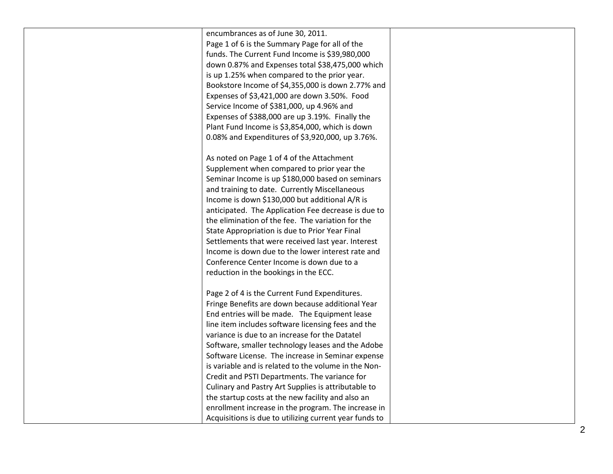| encumbrances as of June 30, 2011.                      |  |
|--------------------------------------------------------|--|
| Page 1 of 6 is the Summary Page for all of the         |  |
| funds. The Current Fund Income is \$39,980,000         |  |
| down 0.87% and Expenses total \$38,475,000 which       |  |
| is up 1.25% when compared to the prior year.           |  |
| Bookstore Income of \$4,355,000 is down 2.77% and      |  |
| Expenses of \$3,421,000 are down 3.50%. Food           |  |
| Service Income of \$381,000, up 4.96% and              |  |
| Expenses of \$388,000 are up 3.19%. Finally the        |  |
| Plant Fund Income is \$3,854,000, which is down        |  |
| 0.08% and Expenditures of \$3,920,000, up 3.76%.       |  |
|                                                        |  |
| As noted on Page 1 of 4 of the Attachment              |  |
| Supplement when compared to prior year the             |  |
| Seminar Income is up \$180,000 based on seminars       |  |
| and training to date. Currently Miscellaneous          |  |
| Income is down \$130,000 but additional A/R is         |  |
| anticipated. The Application Fee decrease is due to    |  |
| the elimination of the fee. The variation for the      |  |
| State Appropriation is due to Prior Year Final         |  |
| Settlements that were received last year. Interest     |  |
| Income is down due to the lower interest rate and      |  |
| Conference Center Income is down due to a              |  |
| reduction in the bookings in the ECC.                  |  |
|                                                        |  |
| Page 2 of 4 is the Current Fund Expenditures.          |  |
| Fringe Benefits are down because additional Year       |  |
| End entries will be made. The Equipment lease          |  |
| line item includes software licensing fees and the     |  |
| variance is due to an increase for the Datatel         |  |
| Software, smaller technology leases and the Adobe      |  |
| Software License. The increase in Seminar expense      |  |
| is variable and is related to the volume in the Non-   |  |
| Credit and PSTI Departments. The variance for          |  |
| Culinary and Pastry Art Supplies is attributable to    |  |
| the startup costs at the new facility and also an      |  |
| enrollment increase in the program. The increase in    |  |
| Acquisitions is due to utilizing current year funds to |  |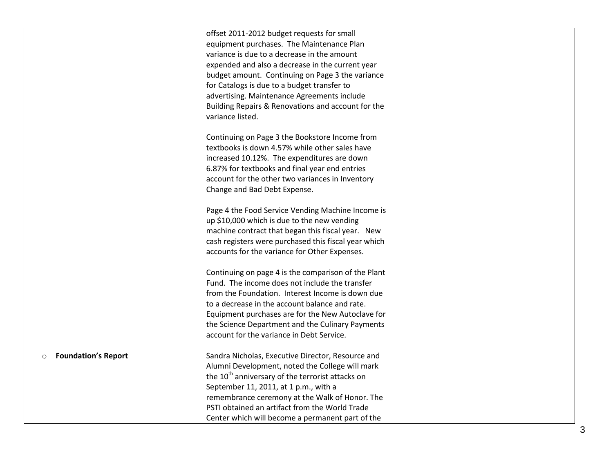|                                       | offset 2011-2012 budget requests for small                   |  |
|---------------------------------------|--------------------------------------------------------------|--|
|                                       | equipment purchases. The Maintenance Plan                    |  |
|                                       | variance is due to a decrease in the amount                  |  |
|                                       | expended and also a decrease in the current year             |  |
|                                       | budget amount. Continuing on Page 3 the variance             |  |
|                                       | for Catalogs is due to a budget transfer to                  |  |
|                                       | advertising. Maintenance Agreements include                  |  |
|                                       | Building Repairs & Renovations and account for the           |  |
|                                       | variance listed.                                             |  |
|                                       |                                                              |  |
|                                       | Continuing on Page 3 the Bookstore Income from               |  |
|                                       | textbooks is down 4.57% while other sales have               |  |
|                                       | increased 10.12%. The expenditures are down                  |  |
|                                       | 6.87% for textbooks and final year end entries               |  |
|                                       | account for the other two variances in Inventory             |  |
|                                       | Change and Bad Debt Expense.                                 |  |
|                                       |                                                              |  |
|                                       | Page 4 the Food Service Vending Machine Income is            |  |
|                                       | up \$10,000 which is due to the new vending                  |  |
|                                       | machine contract that began this fiscal year. New            |  |
|                                       | cash registers were purchased this fiscal year which         |  |
|                                       | accounts for the variance for Other Expenses.                |  |
|                                       |                                                              |  |
|                                       | Continuing on page 4 is the comparison of the Plant          |  |
|                                       | Fund. The income does not include the transfer               |  |
|                                       | from the Foundation. Interest Income is down due             |  |
|                                       | to a decrease in the account balance and rate.               |  |
|                                       | Equipment purchases are for the New Autoclave for            |  |
|                                       | the Science Department and the Culinary Payments             |  |
|                                       | account for the variance in Debt Service.                    |  |
|                                       |                                                              |  |
| <b>Foundation's Report</b><br>$\circ$ | Sandra Nicholas, Executive Director, Resource and            |  |
|                                       | Alumni Development, noted the College will mark              |  |
|                                       | the 10 <sup>th</sup> anniversary of the terrorist attacks on |  |
|                                       | September 11, 2011, at 1 p.m., with a                        |  |
|                                       | remembrance ceremony at the Walk of Honor. The               |  |
|                                       | PSTI obtained an artifact from the World Trade               |  |
|                                       | Center which will become a permanent part of the             |  |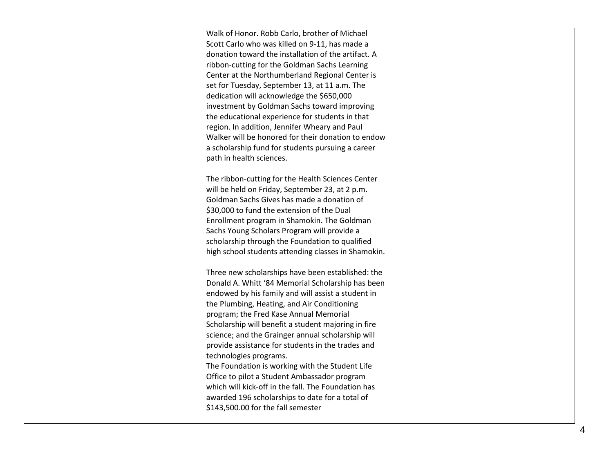Walk of Honor. Robb Carlo, brother of Michael Scott Carlo who was killed on 9 -11, has made a donation toward the installation of the artifact. A ribbon -cutting for the Goldman Sachs Learning Center at the Northumberland Regional Center is set for Tuesday, September 13, at 11 a.m. The dedication will acknowledge the \$650,000 investment by Goldman Sachs toward improving the educational experience for students in that region. In addition, Jennifer Wheary and Paul Walker will be honored for their donation to endow a scholarship fund for students pursuing a career path in health sciences.

The ribbon -cutting for the Health Sciences Center will be held on Friday, September 23, at 2 p.m. Goldman Sachs Gives has made a donation of \$30,000 to fund the extension of the Dual Enrollment program in Shamokin. The Goldman Sachs Young Scholars Program will provide a scholarship through the Foundation to qualified high school students attending classes in Shamokin.

Three new scholarships have been established: the Donald A. Whitt '84 Memorial Scholarship has been endowed by his family and will assist a student in the Plumbing, Heating, and Air Conditioning program; the Fred Kase Annual Memorial Scholarship will benefit a student majoring in fire science; and the Grainger annual scholarship will provide assistance for students in the trades and technologies programs. The Foundation is working with the Student Life Office to pilot a Student Ambassador program

which will kick -off in the fall. The Foundation has awarded 196 scholarships to date for a total of \$143,500.00 for the fall semester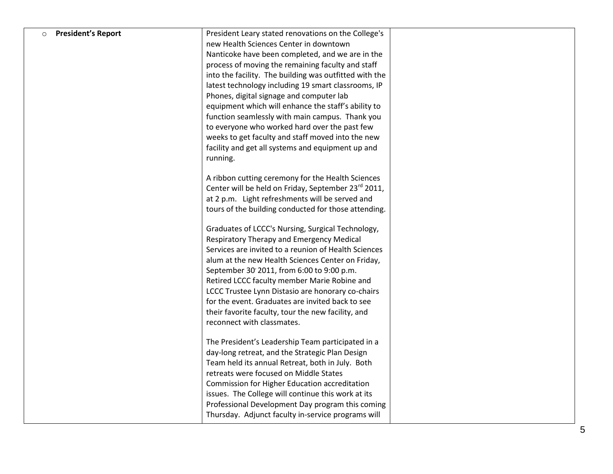| <b>President's Report</b><br>$\circ$ | President Leary stated renovations on the College's             |  |
|--------------------------------------|-----------------------------------------------------------------|--|
|                                      | new Health Sciences Center in downtown                          |  |
|                                      | Nanticoke have been completed, and we are in the                |  |
|                                      | process of moving the remaining faculty and staff               |  |
|                                      | into the facility. The building was outfitted with the          |  |
|                                      | latest technology including 19 smart classrooms, IP             |  |
|                                      | Phones, digital signage and computer lab                        |  |
|                                      | equipment which will enhance the staff's ability to             |  |
|                                      | function seamlessly with main campus. Thank you                 |  |
|                                      | to everyone who worked hard over the past few                   |  |
|                                      | weeks to get faculty and staff moved into the new               |  |
|                                      | facility and get all systems and equipment up and               |  |
|                                      | running.                                                        |  |
|                                      | A ribbon cutting ceremony for the Health Sciences               |  |
|                                      | Center will be held on Friday, September 23 <sup>rd</sup> 2011, |  |
|                                      | at 2 p.m. Light refreshments will be served and                 |  |
|                                      | tours of the building conducted for those attending.            |  |
|                                      |                                                                 |  |
|                                      | Graduates of LCCC's Nursing, Surgical Technology,               |  |
|                                      | Respiratory Therapy and Emergency Medical                       |  |
|                                      | Services are invited to a reunion of Health Sciences            |  |
|                                      | alum at the new Health Sciences Center on Friday,               |  |
|                                      | September 30' 2011, from 6:00 to 9:00 p.m.                      |  |
|                                      | Retired LCCC faculty member Marie Robine and                    |  |
|                                      | LCCC Trustee Lynn Distasio are honorary co-chairs               |  |
|                                      | for the event. Graduates are invited back to see                |  |
|                                      | their favorite faculty, tour the new facility, and              |  |
|                                      | reconnect with classmates.                                      |  |
|                                      |                                                                 |  |
|                                      | The President's Leadership Team participated in a               |  |
|                                      | day-long retreat, and the Strategic Plan Design                 |  |
|                                      | Team held its annual Retreat, both in July. Both                |  |
|                                      | retreats were focused on Middle States                          |  |
|                                      | Commission for Higher Education accreditation                   |  |
|                                      | issues. The College will continue this work at its              |  |
|                                      | Professional Development Day program this coming                |  |
|                                      | Thursday. Adjunct faculty in-service programs will              |  |
|                                      |                                                                 |  |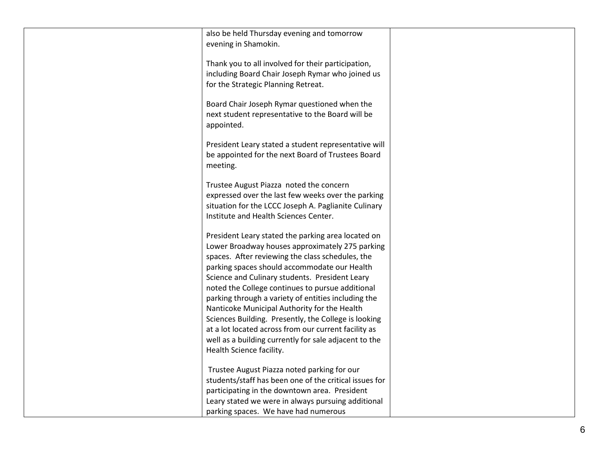| also be held Thursday evening and tomorrow<br>evening in Shamokin.                                                                                                                                                                                                                                                                                                                                                                                                                                                                                                                                                          |  |
|-----------------------------------------------------------------------------------------------------------------------------------------------------------------------------------------------------------------------------------------------------------------------------------------------------------------------------------------------------------------------------------------------------------------------------------------------------------------------------------------------------------------------------------------------------------------------------------------------------------------------------|--|
| Thank you to all involved for their participation,<br>including Board Chair Joseph Rymar who joined us<br>for the Strategic Planning Retreat.                                                                                                                                                                                                                                                                                                                                                                                                                                                                               |  |
| Board Chair Joseph Rymar questioned when the<br>next student representative to the Board will be<br>appointed.                                                                                                                                                                                                                                                                                                                                                                                                                                                                                                              |  |
| President Leary stated a student representative will<br>be appointed for the next Board of Trustees Board<br>meeting.                                                                                                                                                                                                                                                                                                                                                                                                                                                                                                       |  |
| Trustee August Piazza noted the concern<br>expressed over the last few weeks over the parking<br>situation for the LCCC Joseph A. Paglianite Culinary<br>Institute and Health Sciences Center.                                                                                                                                                                                                                                                                                                                                                                                                                              |  |
| President Leary stated the parking area located on<br>Lower Broadway houses approximately 275 parking<br>spaces. After reviewing the class schedules, the<br>parking spaces should accommodate our Health<br>Science and Culinary students. President Leary<br>noted the College continues to pursue additional<br>parking through a variety of entities including the<br>Nanticoke Municipal Authority for the Health<br>Sciences Building. Presently, the College is looking<br>at a lot located across from our current facility as<br>well as a building currently for sale adjacent to the<br>Health Science facility. |  |
| Trustee August Piazza noted parking for our<br>students/staff has been one of the critical issues for<br>participating in the downtown area. President<br>Leary stated we were in always pursuing additional<br>parking spaces. We have had numerous                                                                                                                                                                                                                                                                                                                                                                        |  |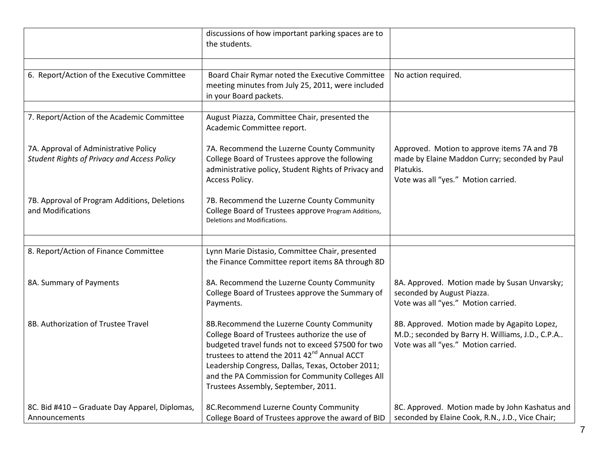|                                                                                             | discussions of how important parking spaces are to<br>the students.                                                                                                                                                                                                                                                                                           |                                                                                                                                                  |
|---------------------------------------------------------------------------------------------|---------------------------------------------------------------------------------------------------------------------------------------------------------------------------------------------------------------------------------------------------------------------------------------------------------------------------------------------------------------|--------------------------------------------------------------------------------------------------------------------------------------------------|
| 6. Report/Action of the Executive Committee                                                 | Board Chair Rymar noted the Executive Committee<br>meeting minutes from July 25, 2011, were included<br>in your Board packets.                                                                                                                                                                                                                                | No action required.                                                                                                                              |
|                                                                                             |                                                                                                                                                                                                                                                                                                                                                               |                                                                                                                                                  |
| 7. Report/Action of the Academic Committee                                                  | August Piazza, Committee Chair, presented the<br>Academic Committee report.                                                                                                                                                                                                                                                                                   |                                                                                                                                                  |
| 7A. Approval of Administrative Policy<br><b>Student Rights of Privacy and Access Policy</b> | 7A. Recommend the Luzerne County Community<br>College Board of Trustees approve the following<br>administrative policy, Student Rights of Privacy and<br>Access Policy.                                                                                                                                                                                       | Approved. Motion to approve items 7A and 7B<br>made by Elaine Maddon Curry; seconded by Paul<br>Platukis.<br>Vote was all "yes." Motion carried. |
| 7B. Approval of Program Additions, Deletions<br>and Modifications                           | 7B. Recommend the Luzerne County Community<br>College Board of Trustees approve Program Additions,<br>Deletions and Modifications.                                                                                                                                                                                                                            |                                                                                                                                                  |
|                                                                                             |                                                                                                                                                                                                                                                                                                                                                               |                                                                                                                                                  |
| 8. Report/Action of Finance Committee                                                       | Lynn Marie Distasio, Committee Chair, presented<br>the Finance Committee report items 8A through 8D                                                                                                                                                                                                                                                           |                                                                                                                                                  |
| 8A. Summary of Payments                                                                     | 8A. Recommend the Luzerne County Community<br>College Board of Trustees approve the Summary of<br>Payments.                                                                                                                                                                                                                                                   | 8A. Approved. Motion made by Susan Unvarsky;<br>seconded by August Piazza.<br>Vote was all "yes." Motion carried.                                |
| 8B. Authorization of Trustee Travel                                                         | 8B.Recommend the Luzerne County Community<br>College Board of Trustees authorize the use of<br>budgeted travel funds not to exceed \$7500 for two<br>trustees to attend the 2011 42 <sup>nd</sup> Annual ACCT<br>Leadership Congress, Dallas, Texas, October 2011;<br>and the PA Commission for Community Colleges All<br>Trustees Assembly, September, 2011. | 8B. Approved. Motion made by Agapito Lopez,<br>M.D.; seconded by Barry H. Williams, J.D., C.P.A<br>Vote was all "yes." Motion carried.           |
| 8C. Bid #410 - Graduate Day Apparel, Diplomas,<br>Announcements                             | 8C.Recommend Luzerne County Community<br>College Board of Trustees approve the award of BID                                                                                                                                                                                                                                                                   | 8C. Approved. Motion made by John Kashatus and<br>seconded by Elaine Cook, R.N., J.D., Vice Chair;                                               |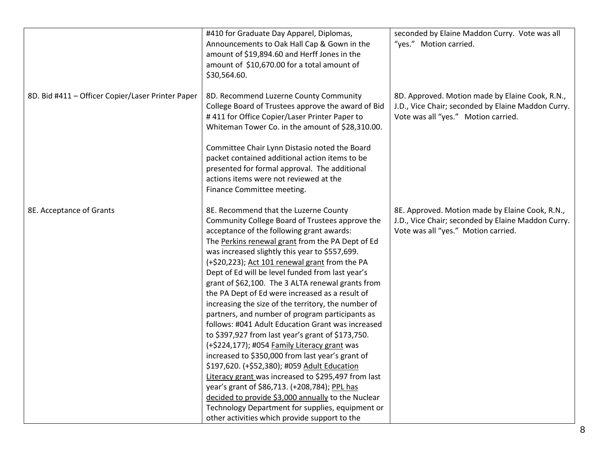|                                                   | #410 for Graduate Day Apparel, Diplomas,                                                 | seconded by Elaine Maddon Curry. Vote was all                                                         |
|---------------------------------------------------|------------------------------------------------------------------------------------------|-------------------------------------------------------------------------------------------------------|
|                                                   | Announcements to Oak Hall Cap & Gown in the                                              | "yes." Motion carried.                                                                                |
|                                                   | amount of \$19,894.60 and Herff Jones in the                                             |                                                                                                       |
|                                                   | amount of \$10,670.00 for a total amount of                                              |                                                                                                       |
|                                                   | \$30,564.60.                                                                             |                                                                                                       |
|                                                   |                                                                                          |                                                                                                       |
| 8D. Bid #411 - Officer Copier/Laser Printer Paper | 8D. Recommend Luzerne County Community                                                   | 8D. Approved. Motion made by Elaine Cook, R.N.,                                                       |
|                                                   | College Board of Trustees approve the award of Bid                                       | J.D., Vice Chair; seconded by Elaine Maddon Curry.                                                    |
|                                                   | #411 for Office Copier/Laser Printer Paper to                                            | Vote was all "yes." Motion carried.                                                                   |
|                                                   | Whiteman Tower Co. in the amount of \$28,310.00.                                         |                                                                                                       |
|                                                   | Committee Chair Lynn Distasio noted the Board                                            |                                                                                                       |
|                                                   | packet contained additional action items to be                                           |                                                                                                       |
|                                                   | presented for formal approval. The additional                                            |                                                                                                       |
|                                                   | actions items were not reviewed at the                                                   |                                                                                                       |
|                                                   | Finance Committee meeting.                                                               |                                                                                                       |
|                                                   |                                                                                          |                                                                                                       |
| 8E. Acceptance of Grants                          | 8E. Recommend that the Luzerne County<br>Community College Board of Trustees approve the | 8E. Approved. Motion made by Elaine Cook, R.N.,<br>J.D., Vice Chair; seconded by Elaine Maddon Curry. |
|                                                   | acceptance of the following grant awards:                                                | Vote was all "yes." Motion carried.                                                                   |
|                                                   | The Perkins renewal grant from the PA Dept of Ed                                         |                                                                                                       |
|                                                   | was increased slightly this year to \$557,699.                                           |                                                                                                       |
|                                                   | (+\$20,223); Act 101 renewal grant from the PA                                           |                                                                                                       |
|                                                   | Dept of Ed will be level funded from last year's                                         |                                                                                                       |
|                                                   | grant of \$62,100. The 3 ALTA renewal grants from                                        |                                                                                                       |
|                                                   | the PA Dept of Ed were increased as a result of                                          |                                                                                                       |
|                                                   | increasing the size of the territory, the number of                                      |                                                                                                       |
|                                                   | partners, and number of program participants as                                          |                                                                                                       |
|                                                   | follows: #041 Adult Education Grant was increased                                        |                                                                                                       |
|                                                   | to \$397,927 from last year's grant of \$173,750.                                        |                                                                                                       |
|                                                   | (+\$224,177); #054 Family Literacy grant was                                             |                                                                                                       |
|                                                   | increased to \$350,000 from last year's grant of                                         |                                                                                                       |
|                                                   | \$197,620. (+\$52,380); #059 Adult Education                                             |                                                                                                       |
|                                                   | Literacy grant was increased to \$295,497 from last                                      |                                                                                                       |
|                                                   | year's grant of \$86,713. (+208,784); PPL has                                            |                                                                                                       |
|                                                   | decided to provide \$3,000 annually to the Nuclear                                       |                                                                                                       |
|                                                   | Technology Department for supplies, equipment or                                         |                                                                                                       |
|                                                   | other activities which provide support to the                                            |                                                                                                       |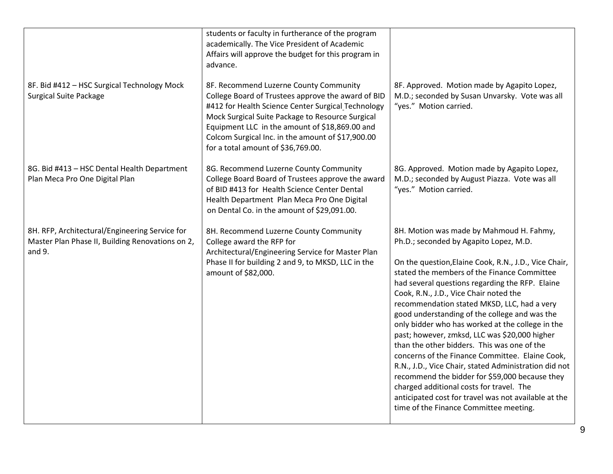| 8F. Bid #412 - HSC Surgical Technology Mock<br><b>Surgical Suite Package</b>                                 | students or faculty in furtherance of the program<br>academically. The Vice President of Academic<br>Affairs will approve the budget for this program in<br>advance.<br>8F. Recommend Luzerne County Community<br>College Board of Trustees approve the award of BID | 8F. Approved. Motion made by Agapito Lopez,<br>M.D.; seconded by Susan Unvarsky. Vote was all                                                                                                                                                                                                                                                                                                                                                                                                                                                                                                                                                                                                                                                                                                                                                           |
|--------------------------------------------------------------------------------------------------------------|----------------------------------------------------------------------------------------------------------------------------------------------------------------------------------------------------------------------------------------------------------------------|---------------------------------------------------------------------------------------------------------------------------------------------------------------------------------------------------------------------------------------------------------------------------------------------------------------------------------------------------------------------------------------------------------------------------------------------------------------------------------------------------------------------------------------------------------------------------------------------------------------------------------------------------------------------------------------------------------------------------------------------------------------------------------------------------------------------------------------------------------|
|                                                                                                              | #412 for Health Science Center Surgical Technology<br>Mock Surgical Suite Package to Resource Surgical<br>Equipment LLC in the amount of \$18,869.00 and<br>Colcom Surgical Inc. in the amount of \$17,900.00<br>for a total amount of \$36,769.00.                  | "yes." Motion carried.                                                                                                                                                                                                                                                                                                                                                                                                                                                                                                                                                                                                                                                                                                                                                                                                                                  |
| 8G. Bid #413 - HSC Dental Health Department<br>Plan Meca Pro One Digital Plan                                | 8G. Recommend Luzerne County Community<br>College Board Board of Trustees approve the award<br>of BID #413 for Health Science Center Dental<br>Health Department Plan Meca Pro One Digital<br>on Dental Co. in the amount of \$29,091.00.                            | 8G. Approved. Motion made by Agapito Lopez,<br>M.D.; seconded by August Piazza. Vote was all<br>"yes." Motion carried.                                                                                                                                                                                                                                                                                                                                                                                                                                                                                                                                                                                                                                                                                                                                  |
| 8H. RFP, Architectural/Engineering Service for<br>Master Plan Phase II, Building Renovations on 2,<br>and 9. | 8H. Recommend Luzerne County Community<br>College award the RFP for<br>Architectural/Engineering Service for Master Plan<br>Phase II for building 2 and 9, to MKSD, LLC in the<br>amount of \$82,000.                                                                | 8H. Motion was made by Mahmoud H. Fahmy,<br>Ph.D.; seconded by Agapito Lopez, M.D.<br>On the question, Elaine Cook, R.N., J.D., Vice Chair,<br>stated the members of the Finance Committee<br>had several questions regarding the RFP. Elaine<br>Cook, R.N., J.D., Vice Chair noted the<br>recommendation stated MKSD, LLC, had a very<br>good understanding of the college and was the<br>only bidder who has worked at the college in the<br>past; however, zmksd, LLC was \$20,000 higher<br>than the other bidders. This was one of the<br>concerns of the Finance Committee. Elaine Cook,<br>R.N., J.D., Vice Chair, stated Administration did not<br>recommend the bidder for \$59,000 because they<br>charged additional costs for travel. The<br>anticipated cost for travel was not available at the<br>time of the Finance Committee meeting. |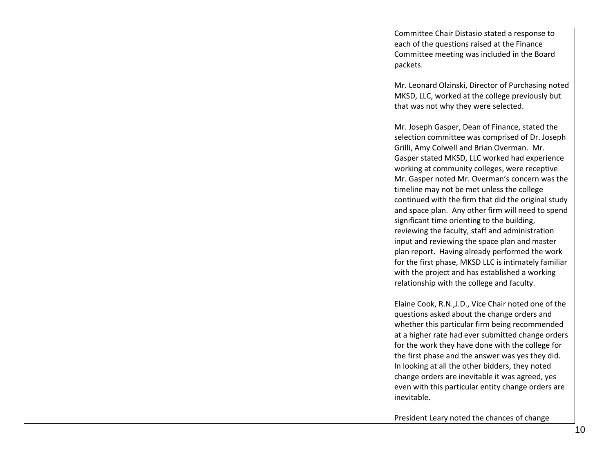Committee Chair Distasio stated a response to each of the questions raised at the Finance Committee meeting was included in the Board packets.

Mr. Leonard Olzinski, Director of Purchasing noted MKSD, LLC, worked at the college previously but that was not why they were selected.

Mr. Joseph Gasper, Dean of Finance, stated the selection committee was comprised of Dr. Joseph Grilli, Amy Colwell and Brian Overman. Mr. Gasper stated MKSD, LLC worked had experience working at community colleges, were receptive Mr. Gasper noted Mr. Overman's concern was the timeline may not be met unless the college continued with the firm that did the original study and space plan. Any other firm will need to spend significant time orienting to the building, reviewing the faculty, staff and administration input and reviewing the space plan and master plan report. Having already performed the work for the first phase, MKSD LLC is intimately familiar with the project and has established a working relationship with the college and faculty.

Elaine Cook, R.N.,J.D., Vice Chair noted one of the questions asked about the change orders and whether this particular firm being recommended at a higher rate had ever submitted change orders for the work they have done with the college for the first phase and the answer was yes they did. In looking at all the other bidders, they noted change orders are inevitable it was agreed, yes even with this particular entity change orders are inevitable.

President Leary noted the chances of change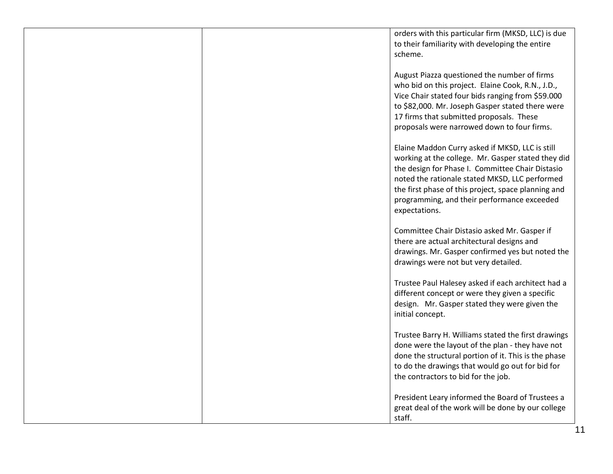orders with this particular firm (MKSD, LLC) is due to their familiarity with developing the entire scheme.

August Piazza questioned the number of firms who bid on this project. Elaine Cook, R.N., J.D., Vice Chair stated four bids ranging from \$59.000 to \$82,000. Mr. Joseph Gasper stated there were 17 firms that submitted proposals. These proposals were narrowed down to four firms.

Elaine Maddon Curry asked if MKSD, LLC is still working at the college. Mr. Gasper stated they did the design for Phase I. Committee Chair Distasio noted the rationale stated MKSD, LLC performed the first phase of this project, space planning and programming, and their performance exceeded expectations.

Committee Chair Distasio asked Mr. Gasper if there are actual architectural designs and drawings. Mr. Gasper confirmed yes but noted the drawings were not but very detailed.

Trustee Paul Halesey asked if each architect had a different concept or were they given a specific design. Mr. Gasper stated they were given the initial concept.

Trustee Barry H. Williams stated the first drawings done were the layout of the plan - they have not done the structural portion of it. This is the phase to do the drawings that would go out for bid for the contractors to bid for the job.

President Leary informed the Board of Trustees a great deal of the work will be done by our college staff.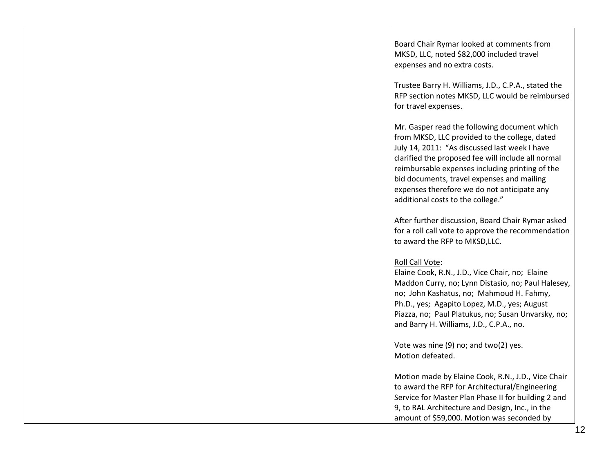|  | Board Chair Rymar looked at comments from<br>MKSD, LLC, noted \$82,000 included travel<br>expenses and no extra costs.                                                                                                                                                                                                                                                                    |
|--|-------------------------------------------------------------------------------------------------------------------------------------------------------------------------------------------------------------------------------------------------------------------------------------------------------------------------------------------------------------------------------------------|
|  | Trustee Barry H. Williams, J.D., C.P.A., stated the<br>RFP section notes MKSD, LLC would be reimbursed<br>for travel expenses.                                                                                                                                                                                                                                                            |
|  | Mr. Gasper read the following document which<br>from MKSD, LLC provided to the college, dated<br>July 14, 2011: "As discussed last week I have<br>clarified the proposed fee will include all normal<br>reimbursable expenses including printing of the<br>bid documents, travel expenses and mailing<br>expenses therefore we do not anticipate any<br>additional costs to the college." |
|  | After further discussion, Board Chair Rymar asked<br>for a roll call vote to approve the recommendation<br>to award the RFP to MKSD, LLC.                                                                                                                                                                                                                                                 |
|  | Roll Call Vote:<br>Elaine Cook, R.N., J.D., Vice Chair, no; Elaine<br>Maddon Curry, no; Lynn Distasio, no; Paul Halesey,<br>no; John Kashatus, no; Mahmoud H. Fahmy,<br>Ph.D., yes; Agapito Lopez, M.D., yes; August<br>Piazza, no; Paul Platukus, no; Susan Unvarsky, no;<br>and Barry H. Williams, J.D., C.P.A., no.                                                                    |
|  | Vote was nine (9) no; and two(2) yes.<br>Motion defeated.                                                                                                                                                                                                                                                                                                                                 |
|  | Motion made by Elaine Cook, R.N., J.D., Vice Chair<br>to award the RFP for Architectural/Engineering<br>Service for Master Plan Phase II for building 2 and<br>9, to RAL Architecture and Design, Inc., in the<br>amount of \$59,000. Motion was seconded by                                                                                                                              |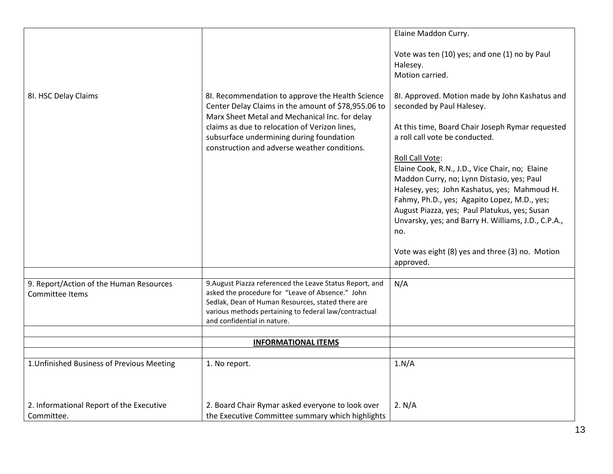|                                                            |                                                                                                                                                                                                                                                                                                        | Elaine Maddon Curry.                                                                                                                                                                                                                                                                                                                                                  |
|------------------------------------------------------------|--------------------------------------------------------------------------------------------------------------------------------------------------------------------------------------------------------------------------------------------------------------------------------------------------------|-----------------------------------------------------------------------------------------------------------------------------------------------------------------------------------------------------------------------------------------------------------------------------------------------------------------------------------------------------------------------|
| 8I. HSC Delay Claims                                       | 8I. Recommendation to approve the Health Science<br>Center Delay Claims in the amount of \$78,955.06 to<br>Marx Sheet Metal and Mechanical Inc. for delay<br>claims as due to relocation of Verizon lines,<br>subsurface undermining during foundation<br>construction and adverse weather conditions. | Vote was ten (10) yes; and one (1) no by Paul<br>Halesey.<br>Motion carried.<br>8I. Approved. Motion made by John Kashatus and<br>seconded by Paul Halesey.<br>At this time, Board Chair Joseph Rymar requested<br>a roll call vote be conducted.<br>Roll Call Vote:<br>Elaine Cook, R.N., J.D., Vice Chair, no; Elaine<br>Maddon Curry, no; Lynn Distasio, yes; Paul |
|                                                            |                                                                                                                                                                                                                                                                                                        | Halesey, yes; John Kashatus, yes; Mahmoud H.<br>Fahmy, Ph.D., yes; Agapito Lopez, M.D., yes;<br>August Piazza, yes; Paul Platukus, yes; Susan<br>Unvarsky, yes; and Barry H. Williams, J.D., C.P.A.,<br>no.                                                                                                                                                           |
|                                                            |                                                                                                                                                                                                                                                                                                        | Vote was eight (8) yes and three (3) no. Motion<br>approved.                                                                                                                                                                                                                                                                                                          |
|                                                            |                                                                                                                                                                                                                                                                                                        |                                                                                                                                                                                                                                                                                                                                                                       |
| 9. Report/Action of the Human Resources<br>Committee Items | 9. August Piazza referenced the Leave Status Report, and<br>asked the procedure for "Leave of Absence." John<br>Sedlak, Dean of Human Resources, stated there are<br>various methods pertaining to federal law/contractual<br>and confidential in nature.                                              | N/A                                                                                                                                                                                                                                                                                                                                                                   |
|                                                            |                                                                                                                                                                                                                                                                                                        |                                                                                                                                                                                                                                                                                                                                                                       |
|                                                            | <b>INFORMATIONAL ITEMS</b>                                                                                                                                                                                                                                                                             |                                                                                                                                                                                                                                                                                                                                                                       |
| 1. Unfinished Business of Previous Meeting                 | 1. No report.                                                                                                                                                                                                                                                                                          | 1.N/A                                                                                                                                                                                                                                                                                                                                                                 |
| 2. Informational Report of the Executive<br>Committee.     | 2. Board Chair Rymar asked everyone to look over<br>the Executive Committee summary which highlights                                                                                                                                                                                                   | 2. N/A                                                                                                                                                                                                                                                                                                                                                                |